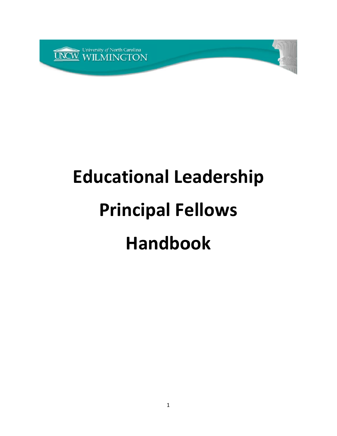

# **Educational Leadership Principal Fellows Handbook**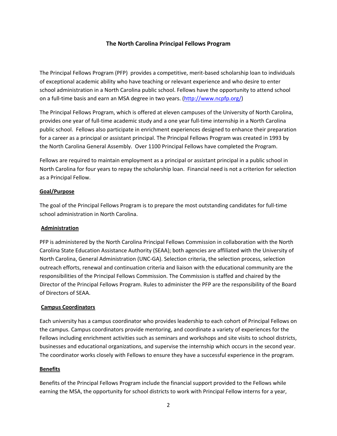# **The North Carolina Principal Fellows Program**

The Principal Fellows Program (PFP) provides a competitive, merit‐based scholarship loan to individuals of exceptional academic ability who have teaching or relevant experience and who desire to enter school administration in a North Carolina public school. Fellows have the opportunity to attend school on a full-time basis and earn an MSA degree in two years. (http://www.ncpfp.org/)

The Principal Fellows Program, which is offered at eleven campuses of the University of North Carolina, provides one year of full‐time academic study and a one year full‐time internship in a North Carolina public school. Fellows also participate in enrichment experiences designed to enhance their preparation for a career as a principal or assistant principal. The Principal Fellows Program was created in 1993 by the North Carolina General Assembly. Over 1100 Principal Fellows have completed the Program.

Fellows are required to maintain employment as a principal or assistant principal in a public school in North Carolina for four years to repay the scholarship loan. Financial need is not a criterion for selection as a Principal Fellow.

### **Goal/Purpose**

The goal of the Principal Fellows Program is to prepare the most outstanding candidates for full‐time school administration in North Carolina.

### **Administration**

PFP is administered by the North Carolina Principal Fellows Commission in collaboration with the North Carolina State Education Assistance Authority (SEAA); both agencies are affiliated with the University of North Carolina, General Administration (UNC‐GA). Selection criteria, the selection process, selection outreach efforts, renewal and continuation criteria and liaison with the educational community are the responsibilities of the Principal Fellows Commission. The Commission is staffed and chaired by the Director of the Principal Fellows Program. Rules to administer the PFP are the responsibility of the Board of Directors of SEAA.

### **Campus Coordinators**

Each university has a campus coordinator who provides leadership to each cohort of Principal Fellows on the campus. Campus coordinators provide mentoring, and coordinate a variety of experiences for the Fellows including enrichment activities such as seminars and workshops and site visits to school districts, businesses and educational organizations, and supervise the internship which occurs in the second year. The coordinator works closely with Fellows to ensure they have a successful experience in the program.

### **Benefits**

Benefits of the Principal Fellows Program include the financial support provided to the Fellows while earning the MSA, the opportunity for school districts to work with Principal Fellow interns for a year,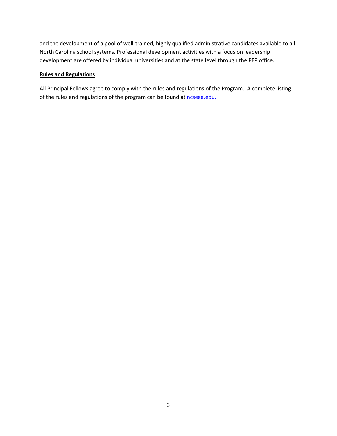and the development of a pool of well-trained, highly qualified administrative candidates available to all North Carolina school systems. Professional development activities with a focus on leadership development are offered by individual universities and at the state level through the PFP office.

## **Rules and Regulations**

All Principal Fellows agree to comply with the rules and regulations of the Program. A complete listing of the rules and regulations of the program can be found at ncseaa.edu.